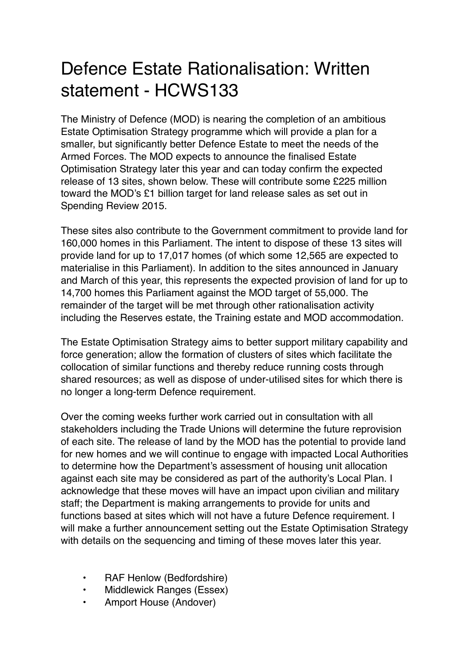## Defence Estate Rationalisation: Written statement - HCWS133

The Ministry of Defence (MOD) is nearing the completion of an ambitious Estate Optimisation Strategy programme which will provide a plan for a smaller, but significantly better Defence Estate to meet the needs of the Armed Forces. The MOD expects to announce the finalised Estate Optimisation Strategy later this year and can today confirm the expected release of 13 sites, shown below. These will contribute some £225 million toward the MOD's £1 billion target for land release sales as set out in Spending Review 2015.

These sites also contribute to the Government commitment to provide land for 160,000 homes in this Parliament. The intent to dispose of these 13 sites will provide land for up to 17,017 homes (of which some 12,565 are expected to materialise in this Parliament). In addition to the sites announced in January and March of this year, this represents the expected provision of land for up to 14,700 homes this Parliament against the MOD target of 55,000. The remainder of the target will be met through other rationalisation activity including the Reserves estate, the Training estate and MOD accommodation.

The Estate Optimisation Strategy aims to better support military capability and force generation; allow the formation of clusters of sites which facilitate the collocation of similar functions and thereby reduce running costs through shared resources; as well as dispose of under-utilised sites for which there is no longer a long-term Defence requirement.

Over the coming weeks further work carried out in consultation with all stakeholders including the Trade Unions will determine the future reprovision of each site. The release of land by the MOD has the potential to provide land for new homes and we will continue to engage with impacted Local Authorities to determine how the Department's assessment of housing unit allocation against each site may be considered as part of the authority's Local Plan. I acknowledge that these moves will have an impact upon civilian and military staff; the Department is making arrangements to provide for units and functions based at sites which will not have a future Defence requirement. I will make a further announcement setting out the Estate Optimisation Strategy with details on the sequencing and timing of these moves later this year.

- RAF Henlow (Bedfordshire)
- Middlewick Ranges (Essex)
- Amport House (Andover)